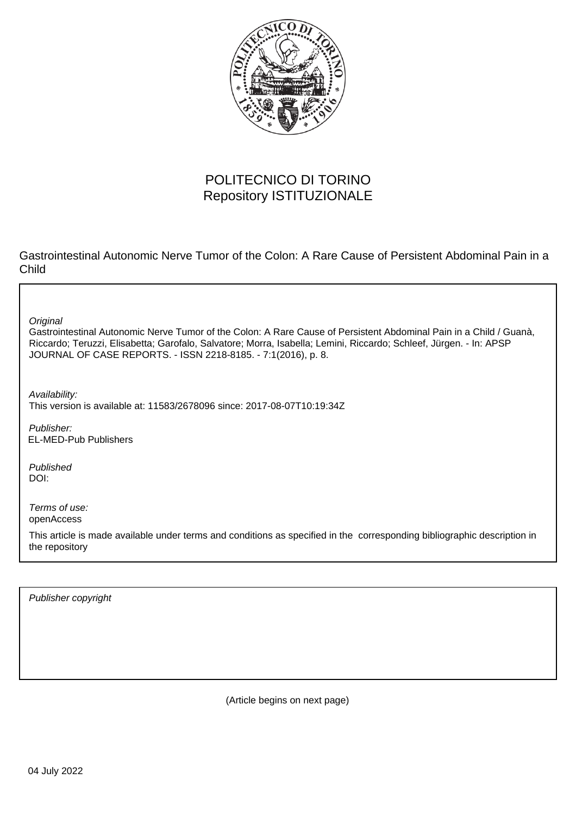

# POLITECNICO DI TORINO Repository ISTITUZIONALE

Gastrointestinal Autonomic Nerve Tumor of the Colon: A Rare Cause of Persistent Abdominal Pain in a Child

**Original** 

Gastrointestinal Autonomic Nerve Tumor of the Colon: A Rare Cause of Persistent Abdominal Pain in a Child / Guanà, Riccardo; Teruzzi, Elisabetta; Garofalo, Salvatore; Morra, Isabella; Lemini, Riccardo; Schleef, Jürgen. - In: APSP JOURNAL OF CASE REPORTS. - ISSN 2218-8185. - 7:1(2016), p. 8.

Availability: This version is available at: 11583/2678096 since: 2017-08-07T10:19:34Z

Publisher: EL-MED-Pub Publishers

Published DOI:

Terms of use: openAccess

This article is made available under terms and conditions as specified in the corresponding bibliographic description in the repository

Publisher copyright

(Article begins on next page)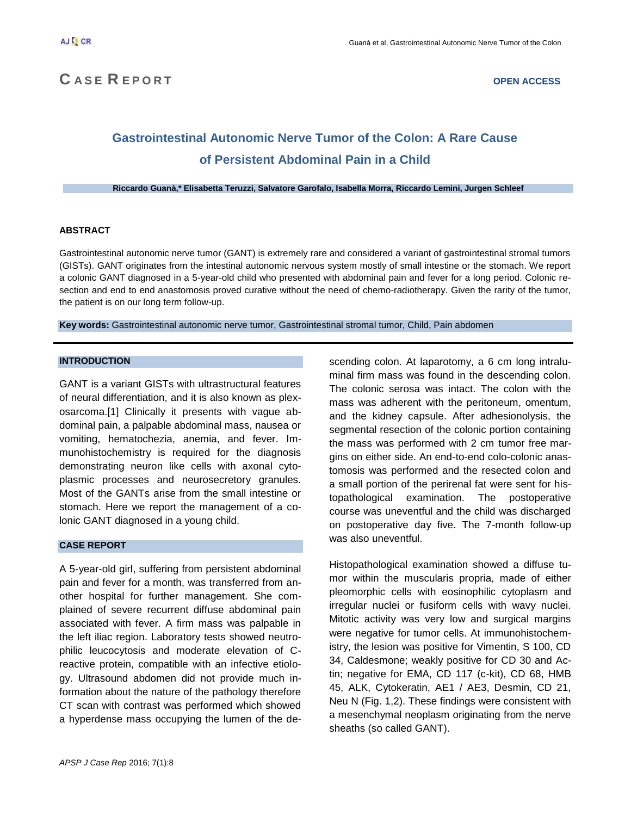# **C A S E R E P O R T OPEN ACCESS**

# **Gastrointestinal Autonomic Nerve Tumor of the Colon: A Rare Cause of Persistent Abdominal Pain in a Child**

**Riccardo Guanà,\* Elisabetta Teruzzi, Salvatore Garofalo, Isabella Morra, Riccardo Lemini, Jurgen Schleef**

### **ABSTRACT**

Gastrointestinal autonomic nerve tumor (GANT) is extremely rare and considered a variant of gastrointestinal stromal tumors (GISTs). GANT originates from the intestinal autonomic nervous system mostly of small intestine or the stomach. We report a colonic GANT diagnosed in a 5-year-old child who presented with abdominal pain and fever for a long period. Colonic resection and end to end anastomosis proved curative without the need of chemo-radiotherapy. Given the rarity of the tumor, the patient is on our long term follow-up.

**Key words:** Gastrointestinal autonomic nerve tumor, Gastrointestinal stromal tumor, Child, Pain abdomen

# **INTRODUCTION**

GANT is a variant GISTs with ultrastructural features of neural differentiation, and it is also known as plexosarcoma.[1] Clinically it presents with vague abdominal pain, a palpable abdominal mass, nausea or vomiting, hematochezia, anemia, and fever. Immunohistochemistry is required for the diagnosis demonstrating neuron like cells with axonal cytoplasmic processes and neurosecretory granules. Most of the GANTs arise from the small intestine or stomach. Here we report the management of a colonic GANT diagnosed in a young child.

### **CASE REPORT**

A 5-year-old girl, suffering from persistent abdominal pain and fever for a month, was transferred from another hospital for further management. She complained of severe recurrent diffuse abdominal pain associated with fever. A firm mass was palpable in the left iliac region. Laboratory tests showed neutrophilic leucocytosis and moderate elevation of Creactive protein, compatible with an infective etiology. Ultrasound abdomen did not provide much information about the nature of the pathology therefore CT scan with contrast was performed which showed a hyperdense mass occupying the lumen of the de-

scending colon. At laparotomy, a 6 cm long intraluminal firm mass was found in the descending colon. The colonic serosa was intact. The colon with the mass was adherent with the peritoneum, omentum, and the kidney capsule. After adhesionolysis, the segmental resection of the colonic portion containing the mass was performed with 2 cm tumor free margins on either side. An end-to-end colo-colonic anastomosis was performed and the resected colon and a small portion of the perirenal fat were sent for histopathological examination. The postoperative course was uneventful and the child was discharged on postoperative day five. The 7-month follow-up was also uneventful.

Histopathological examination showed a diffuse tumor within the muscularis propria, made of either pleomorphic cells with eosinophilic cytoplasm and irregular nuclei or fusiform cells with wavy nuclei. Mitotic activity was very low and surgical margins were negative for tumor cells. At immunohistochemistry, the lesion was positive for Vimentin, S 100, CD 34, Caldesmone; weakly positive for CD 30 and Actin; negative for EMA, CD 117 (c-kit), CD 68, HMB 45, ALK, Cytokeratin, AE1 / AE3, Desmin, CD 21, Neu N (Fig. 1,2). These findings were consistent with a mesenchymal neoplasm originating from the nerve sheaths (so called GANT).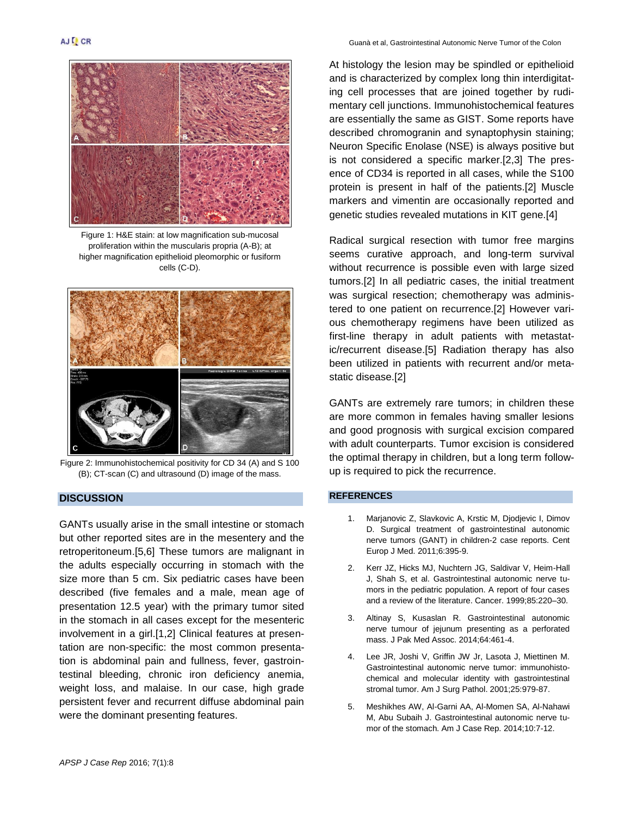

Figure 1: H&E stain: at low magnification sub-mucosal proliferation within the muscularis propria (A-B); at higher magnification epithelioid pleomorphic or fusiform cells (C-D).



Figure 2: Immunohistochemical positivity for CD 34 (A) and S 100 (B); CT-scan (C) and ultrasound (D) image of the mass.

# **DISCUSSION**

GANTs usually arise in the small intestine or stomach but other reported sites are in the mesentery and the retroperitoneum.[5,6] These tumors are malignant in the adults especially occurring in stomach with the size more than 5 cm. Six pediatric cases have been described (five females and a male, mean age of presentation 12.5 year) with the primary tumor sited in the stomach in all cases except for the mesenteric involvement in a girl.[1,2] Clinical features at presentation are non-specific: the most common presentation is abdominal pain and fullness, fever, gastrointestinal bleeding, chronic iron deficiency anemia, weight loss, and malaise. In our case, high grade persistent fever and recurrent diffuse abdominal pain were the dominant presenting features.

At histology the lesion may be spindled or epithelioid and is characterized by complex long thin interdigitating cell processes that are joined together by rudimentary cell junctions. Immunohistochemical features are essentially the same as GIST. Some reports have described chromogranin and synaptophysin staining; Neuron Specific Enolase (NSE) is always positive but is not considered a specific marker.[2,3] The presence of CD34 is reported in all cases, while the S100 protein is present in half of the patients.[2] Muscle markers and vimentin are occasionally reported and genetic studies revealed mutations in KIT gene.[4]

Radical surgical resection with tumor free margins seems curative approach, and long-term survival without recurrence is possible even with large sized tumors.[2] In all pediatric cases, the initial treatment was surgical resection; chemotherapy was administered to one patient on recurrence.[2] However various chemotherapy regimens have been utilized as first-line therapy in adult patients with metastatic/recurrent disease.[5] Radiation therapy has also been utilized in patients with recurrent and/or metastatic disease.[2]

GANTs are extremely rare tumors; in children these are more common in females having smaller lesions and good prognosis with surgical excision compared with adult counterparts. Tumor excision is considered the optimal therapy in children, but a long term followup is required to pick the recurrence.

#### **REFERENCES**

- 1. Marjanovic Z, Slavkovic A, Krstic M, Djodjevic I, Dimov D. Surgical treatment of gastrointestinal autonomic nerve tumors (GANT) in children-2 case reports. Cent Europ J Med. 2011;6:395-9.
- 2. Kerr JZ, Hicks MJ, Nuchtern JG, Saldivar V, Heim-Hall J, Shah S, et al. Gastrointestinal autonomic nerve tumors in the pediatric population. A report of four cases and a review of the literature. Cancer. 1999;85:220–30.
- 3. Altinay S, Kusaslan R. Gastrointestinal autonomic nerve tumour of jejunum presenting as a perforated mass. J Pak Med Assoc. 2014;64:461-4.
- 4. Lee JR, Joshi V, Griffin JW Jr, Lasota J, Miettinen M. Gastrointestinal autonomic nerve tumor: immunohistochemical and molecular identity with gastrointestinal stromal tumor. Am J Surg Pathol. 2001;25:979-87.
- 5. Meshikhes AW, Al-Garni AA, Al-Momen SA, Al-Nahawi M, Abu Subaih J. Gastrointestinal autonomic nerve tumor of the stomach. Am J Case Rep. 2014;10:7-12.